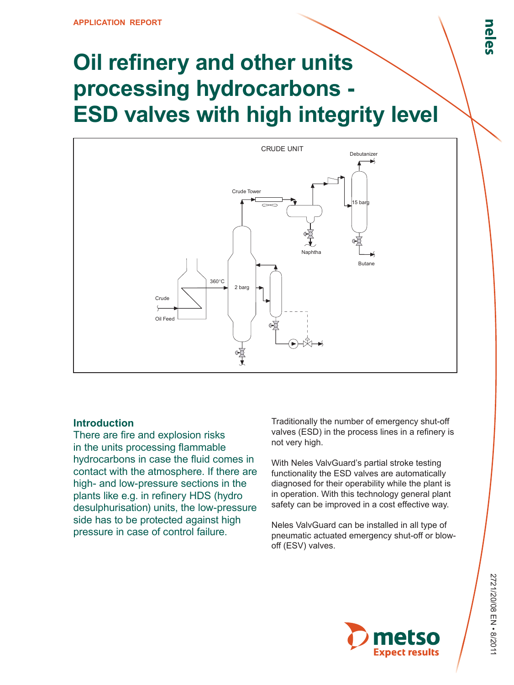# **Oil refinery and other units processing hydrocarbons - ESD valves with high integrity level**



# **Introduction**

There are fire and explosion risks in the units processing flammable hydrocarbons in case the fluid comes in contact with the atmosphere. If there are high- and low-pressure sections in the plants like e.g. in refinery HDS (hydro desulphurisation) units, the low-pressure side has to be protected against high pressure in case of control failure.

Traditionally the number of emergency shut-off valves (ESD) in the process lines in a refinery is not very high.

With Neles ValvGuard's partial stroke testing functionality the ESD valves are automatically diagnosed for their operability while the plant is in operation. With this technology general plant safety can be improved in a cost effective way.

Neles ValvGuard can be installed in all type of pneumatic actuated emergency shut-off or blowoff (ESV) valves.

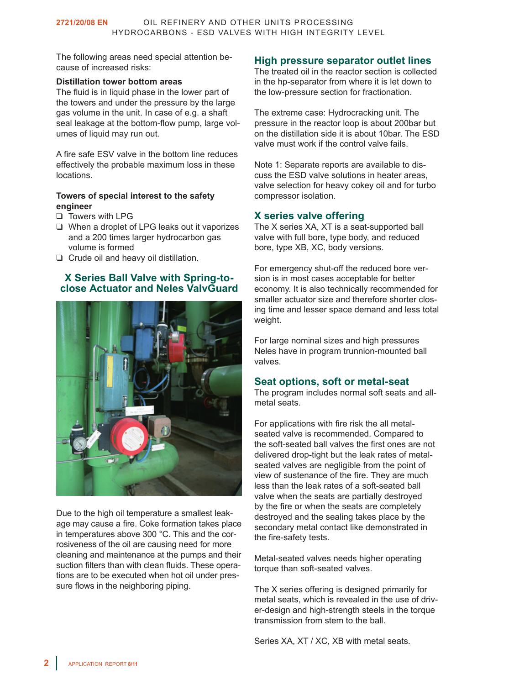The following areas need special attention because of increased risks:

#### **Distillation tower bottom areas**

The fluid is in liquid phase in the lower part of the towers and under the pressure by the large gas volume in the unit. In case of e.g. a shaft seal leakage at the bottom-flow pump, large volumes of liquid may run out.

A fire safe ESV valve in the bottom line reduces effectively the probable maximum loss in these locations.

#### **Towers of special interest to the safety engineer**

- ❑ Towers with LPG
- ❑ When a droplet of LPG leaks out it vaporizes and a 200 times larger hydrocarbon gas volume is formed
- ❑ Crude oil and heavy oil distillation.

# **X Series Ball Valve with Spring-toclose Actuator and Neles ValvGuard**



Due to the high oil temperature a smallest leakage may cause a fire. Coke formation takes place in temperatures above 300 °C. This and the corrosiveness of the oil are causing need for more cleaning and maintenance at the pumps and their suction filters than with clean fluids. These operations are to be executed when hot oil under pressure flows in the neighboring piping.

# **High pressure separator outlet lines**

The treated oil in the reactor section is collected in the hp-separator from where it is let down to the low-pressure section for fractionation.

The extreme case: Hydrocracking unit. The pressure in the reactor loop is about 200bar but on the distillation side it is about 10bar. The ESD valve must work if the control valve fails.

Note 1: Separate reports are available to discuss the ESD valve solutions in heater areas, valve selection for heavy cokey oil and for turbo compressor isolation.

### **X series valve offering**

The X series XA, XT is a seat-supported ball valve with full bore, type body, and reduced bore, type XB, XC, body versions.

For emergency shut-off the reduced bore version is in most cases acceptable for better economy. It is also technically recommended for smaller actuator size and therefore shorter closing time and lesser space demand and less total weight.

For large nominal sizes and high pressures Neles have in program trunnion-mounted ball valves.

#### **Seat options, soft or metal-seat**

The program includes normal soft seats and allmetal seats.

For applications with fire risk the all metalseated valve is recommended. Compared to the soft-seated ball valves the first ones are not delivered drop-tight but the leak rates of metalseated valves are negligible from the point of view of sustenance of the fire. They are much less than the leak rates of a soft-seated ball valve when the seats are partially destroyed by the fire or when the seats are completely destroyed and the sealing takes place by the secondary metal contact like demonstrated in the fire-safety tests.

Metal-seated valves needs higher operating torque than soft-seated valves.

The X series offering is designed primarily for metal seats, which is revealed in the use of driver-design and high-strength steels in the torque transmission from stem to the ball.

Series XA, XT / XC, XB with metal seats.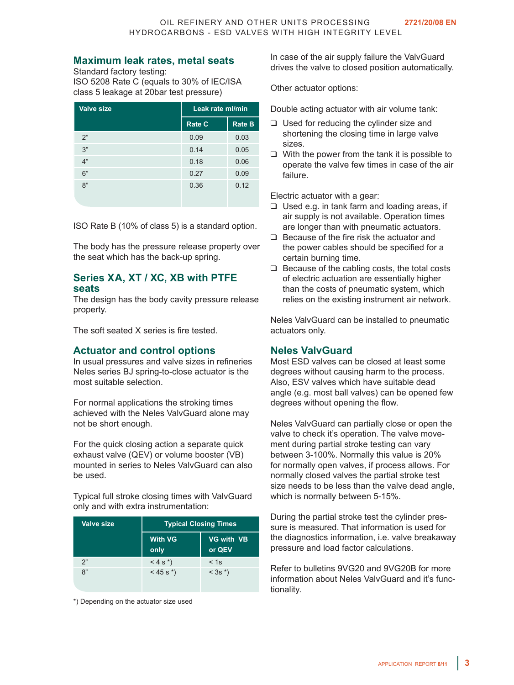#### **Maximum leak rates, metal seats**

Standard factory testing: ISO 5208 Rate C (equals to 30% of IEC/ISA class 5 leakage at 20bar test pressure)

| <b>Valve size</b> | Leak rate ml/min |               |
|-------------------|------------------|---------------|
|                   | <b>Rate C</b>    | <b>Rate B</b> |
| 2"                | 0.09             | 0.03          |
| 3"                | 0.14             | 0.05          |
| 4"                | 0.18             | 0.06          |
| 6"                | 0.27             | 0.09          |
| 8"                | 0.36             | 0.12          |

ISO Rate B (10% of class 5) is a standard option.

The body has the pressure release property over the seat which has the back-up spring.

## **Series XA, XT / XC, XB with PTFE seats**

The design has the body cavity pressure release property.

The soft seated X series is fire tested.

#### **Actuator and control options**

In usual pressures and valve sizes in refineries Neles series BJ spring-to-close actuator is the most suitable selection.

For normal applications the stroking times achieved with the Neles ValvGuard alone may not be short enough.

For the quick closing action a separate quick exhaust valve (QEV) or volume booster (VB) mounted in series to Neles ValvGuard can also be used.

Typical full stroke closing times with ValvGuard only and with extra instrumentation:

| <b>Valve size</b> | <b>Typical Closing Times</b> |                             |  |
|-------------------|------------------------------|-----------------------------|--|
|                   | <b>With VG</b><br>only       | <b>VG with VB</b><br>or QEV |  |
| 2"                | $< 4 s^*$                    | < 1s                        |  |
| 8"                | $<$ 45 s $*$ )               | $< 3s*$                     |  |

\*) Depending on the actuator size used

In case of the air supply failure the ValvGuard drives the valve to closed position automatically.

Other actuator options:

Double acting actuator with air volume tank:

- ❑ Used for reducing the cylinder size and shortening the closing time in large valve sizes.
- ❑ With the power from the tank it is possible to operate the valve few times in case of the air failure.

Electric actuator with a gear:

- ❑ Used e.g. in tank farm and loading areas, if air supply is not available. Operation times are longer than with pneumatic actuators.
- ❑ Because of the fire risk the actuator and the power cables should be specified for a certain burning time.
- ❑ Because of the cabling costs, the total costs of electric actuation are essentially higher than the costs of pneumatic system, which relies on the existing instrument air network.

Neles ValvGuard can be installed to pneumatic actuators only.

#### **Neles ValvGuard**

Most ESD valves can be closed at least some degrees without causing harm to the process. Also, ESV valves which have suitable dead angle (e.g. most ball valves) can be opened few degrees without opening the flow.

Neles ValvGuard can partially close or open the valve to check it's operation. The valve movement during partial stroke testing can vary between 3-100%. Normally this value is 20% for normally open valves, if process allows. For normally closed valves the partial stroke test size needs to be less than the valve dead angle, which is normally between 5-15%.

During the partial stroke test the cylinder pressure is measured. That information is used for the diagnostics information, i.e. valve breakaway pressure and load factor calculations.

Refer to bulletins 9VG20 and 9VG20B for more information about Neles ValvGuard and it's functionality.